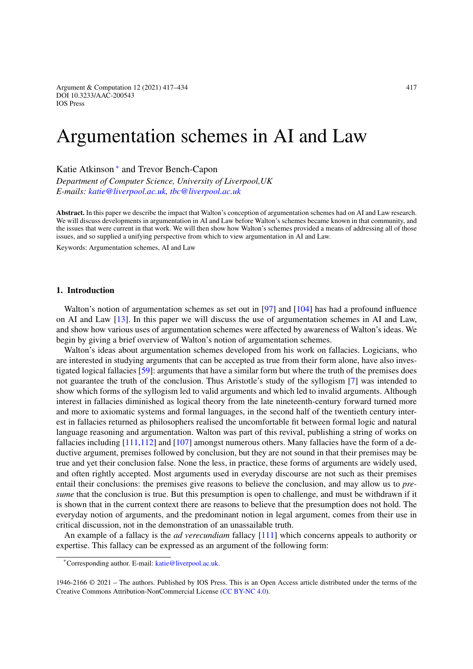Argument & Computation 12 (2021) 417–434 417 DOI 10.3233/AAC-200543 IOS Press

# Argumentation schemes in AI and Law

Katie Atkinson [∗](#page-0-0) and Trevor Bench-Capon

*Department of Computer Science, University of Liverpool,UK E-mails: [katie@liverpool.ac.uk,](mailto:katie@liverpool.ac.uk) [tbc@liverpool.ac.uk](mailto:tbc@liverpool.ac.uk)*

**Abstract.** In this paper we describe the impact that Walton's conception of argumentation schemes had on AI and Law research. We will discuss developments in argumentation in AI and Law before Walton's schemes became known in that community, and the issues that were current in that work. We will then show how Walton's schemes provided a means of addressing all of those issues, and so supplied a unifying perspective from which to view argumentation in AI and Law.

Keywords: Argumentation schemes, AI and Law

## <span id="page-0-1"></span>**1. Introduction**

Walton's notion of argumentation schemes as set out in [\[97\]](#page-16-0) and [\[104](#page-17-0)] has had a profound influence on AI and Law [\[13\]](#page-14-0). In this paper we will discuss the use of argumentation schemes in AI and Law, and show how various uses of argumentation schemes were affected by awareness of Walton's ideas. We begin by giving a brief overview of Walton's notion of argumentation schemes.

Walton's ideas about argumentation schemes developed from his work on fallacies. Logicians, who are interested in studying arguments that can be accepted as true from their form alone, have also investigated logical fallacies [\[59\]](#page-15-0): arguments that have a similar form but where the truth of the premises does not guarantee the truth of the conclusion. Thus Aristotle's study of the syllogism [\[7\]](#page-13-0) was intended to show which forms of the syllogism led to valid arguments and which led to invalid arguments. Although interest in fallacies diminished as logical theory from the late nineteenth-century forward turned more and more to axiomatic systems and formal languages, in the second half of the twentieth century interest in fallacies returned as philosophers realised the uncomfortable fit between formal logic and natural language reasoning and argumentation. Walton was part of this revival, publishing a string of works on fallacies including [\[111](#page-17-1)[,112](#page-17-2)] and [\[107\]](#page-17-3) amongst numerous others. Many fallacies have the form of a deductive argument, premises followed by conclusion, but they are not sound in that their premises may be true and yet their conclusion false. None the less, in practice, these forms of arguments are widely used, and often rightly accepted. Most arguments used in everyday discourse are not such as their premises entail their conclusions: the premises give reasons to believe the conclusion, and may allow us to *presume* that the conclusion is true. But this presumption is open to challenge, and must be withdrawn if it is shown that in the current context there are reasons to believe that the presumption does not hold. The everyday notion of arguments, and the predominant notion in legal argument, comes from their use in critical discussion, not in the demonstration of an unassailable truth.

An example of a fallacy is the *ad verecundiam* fallacy [\[111](#page-17-1)] which concerns appeals to authority or expertise. This fallacy can be expressed as an argument of the following form:

<span id="page-0-0"></span><sup>\*</sup>Corresponding author. E-mail: [katie@liverpool.ac.uk.](mailto:katie@liverpool.ac.uk)

<sup>1946-2166 © 2021 –</sup> The authors. Published by IOS Press. This is an Open Access article distributed under the terms of the Creative Commons Attribution-NonCommercial License [\(CC BY-NC 4.0\)](https://creativecommons.org/licenses/by-nc/4.0/).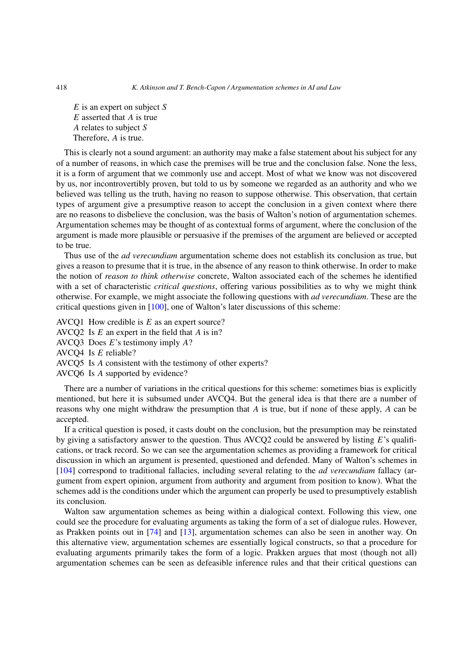*E* is an expert on subject *S E* asserted that *A* is true *A* relates to subject *S* Therefore, *A* is true.

This is clearly not a sound argument: an authority may make a false statement about his subject for any of a number of reasons, in which case the premises will be true and the conclusion false. None the less, it is a form of argument that we commonly use and accept. Most of what we know was not discovered by us, nor incontrovertibly proven, but told to us by someone we regarded as an authority and who we believed was telling us the truth, having no reason to suppose otherwise. This observation, that certain types of argument give a presumptive reason to accept the conclusion in a given context where there are no reasons to disbelieve the conclusion, was the basis of Walton's notion of argumentation schemes. Argumentation schemes may be thought of as contextual forms of argument, where the conclusion of the argument is made more plausible or persuasive if the premises of the argument are believed or accepted to be true.

Thus use of the *ad verecundiam* argumentation scheme does not establish its conclusion as true, but gives a reason to presume that it is true, in the absence of any reason to think otherwise. In order to make the notion of *reason to think otherwise* concrete, Walton associated each of the schemes he identified with a set of characteristic *critical questions*, offering various possibilities as to why we might think otherwise. For example, we might associate the following questions with *ad verecundiam*. These are the critical questions given in [\[100](#page-16-1)], one of Walton's later discussions of this scheme:

AVCQ1 How credible is *E* as an expert source?

AVCQ2 Is *E* an expert in the field that *A* is in?

AVCQ3 Does *E*'s testimony imply *A*?

AVCQ4 Is *E* reliable?

AVCQ5 Is *A* consistent with the testimony of other experts?

AVCQ6 Is *A* supported by evidence?

There are a number of variations in the critical questions for this scheme: sometimes bias is explicitly mentioned, but here it is subsumed under AVCQ4. But the general idea is that there are a number of reasons why one might withdraw the presumption that *A* is true, but if none of these apply, *A* can be accepted.

If a critical question is posed, it casts doubt on the conclusion, but the presumption may be reinstated by giving a satisfactory answer to the question. Thus AVCQ2 could be answered by listing *E*'s qualifications, or track record. So we can see the argumentation schemes as providing a framework for critical discussion in which an argument is presented, questioned and defended. Many of Walton's schemes in [\[104\]](#page-17-0) correspond to traditional fallacies, including several relating to the *ad verecundiam* fallacy (argument from expert opinion, argument from authority and argument from position to know). What the schemes add is the conditions under which the argument can properly be used to presumptively establish its conclusion.

Walton saw argumentation schemes as being within a dialogical context. Following this view, one could see the procedure for evaluating arguments as taking the form of a set of dialogue rules. However, as Prakken points out in [\[74](#page-16-2)] and [\[13](#page-14-0)], argumentation schemes can also be seen in another way. On this alternative view, argumentation schemes are essentially logical constructs, so that a procedure for evaluating arguments primarily takes the form of a logic. Prakken argues that most (though not all) argumentation schemes can be seen as defeasible inference rules and that their critical questions can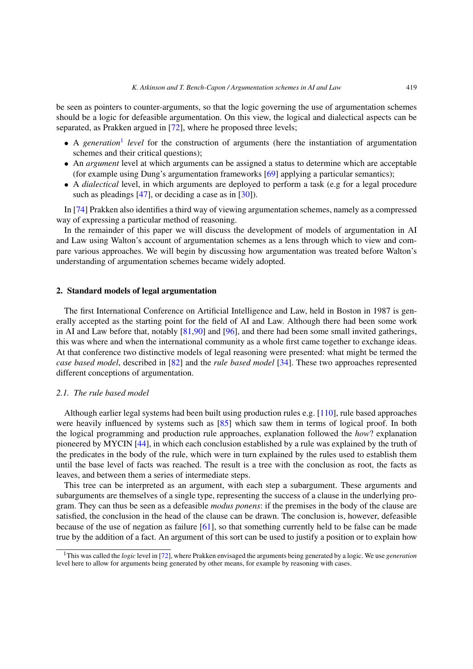be seen as pointers to counter-arguments, so that the logic governing the use of argumentation schemes should be a logic for defeasible argumentation. On this view, the logical and dialectical aspects can be separated, as Prakken argued in [\[72](#page-16-3)], where he proposed three levels;

- A *generation*<sup>[1](#page-2-0)</sup> *level* for the construction of arguments (here the instantiation of argumentation schemes and their critical questions);
- An *argument* level at which arguments can be assigned a status to determine which are acceptable (for example using Dung's argumentation frameworks [\[69\]](#page-15-1) applying a particular semantics);
- A *dialectical* level, in which arguments are deployed to perform a task (e.g for a legal procedure such as pleadings  $[47]$ , or deciding a case as in  $[30]$  $[30]$ .

In [\[74\]](#page-16-2) Prakken also identifies a third way of viewing argumentation schemes, namely as a compressed way of expressing a particular method of reasoning.

In the remainder of this paper we will discuss the development of models of argumentation in AI and Law using Walton's account of argumentation schemes as a lens through which to view and compare various approaches. We will begin by discussing how argumentation was treated before Walton's understanding of argumentation schemes became widely adopted.

## **2. Standard models of legal argumentation**

The first International Conference on Artificial Intelligence and Law, held in Boston in 1987 is generally accepted as the starting point for the field of AI and Law. Although there had been some work in AI and Law before that, notably [\[81](#page-16-4)[,90](#page-16-5)] and [\[96](#page-16-6)], and there had been some small invited gatherings, this was where and when the international community as a whole first came together to exchange ideas. At that conference two distinctive models of legal reasoning were presented: what might be termed the *case based model*, described in [\[82](#page-16-7)] and the *rule based model* [\[34](#page-14-2)]. These two approaches represented different conceptions of argumentation.

## <span id="page-2-1"></span>*2.1. The rule based model*

Although earlier legal systems had been built using production rules e.g. [\[110](#page-17-4)], rule based approaches were heavily influenced by systems such as  $[85]$  which saw them in terms of logical proof. In both the logical programming and production rule approaches, explanation followed the *how*? explanation pioneered by MYCIN [\[44\]](#page-15-3), in which each conclusion established by a rule was explained by the truth of the predicates in the body of the rule, which were in turn explained by the rules used to establish them until the base level of facts was reached. The result is a tree with the conclusion as root, the facts as leaves, and between them a series of intermediate steps.

This tree can be interpreted as an argument, with each step a subargument. These arguments and subarguments are themselves of a single type, representing the success of a clause in the underlying program. They can thus be seen as a defeasible *modus ponens*: if the premises in the body of the clause are satisfied, the conclusion in the head of the clause can be drawn. The conclusion is, however, defeasible because of the use of negation as failure [\[61\]](#page-15-4), so that something currently held to be false can be made true by the addition of a fact. An argument of this sort can be used to justify a position or to explain how

<span id="page-2-0"></span><sup>1</sup>This was called the *logic* level in [\[72\]](#page-16-3), where Prakken envisaged the arguments being generated by a logic. We use *generation* level here to allow for arguments being generated by other means, for example by reasoning with cases.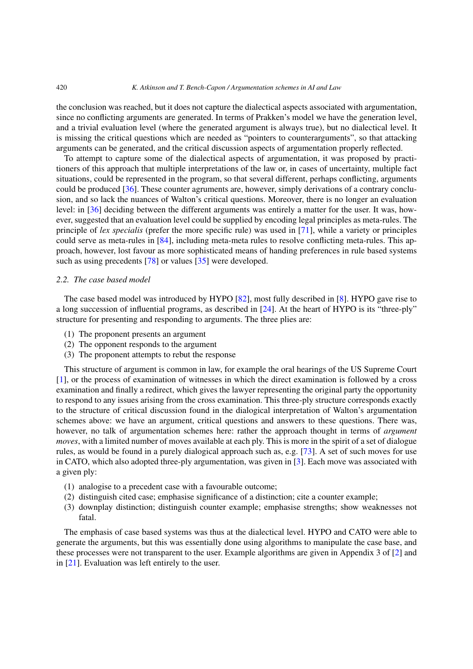#### 420 *K. Atkinson and T. Bench-Capon / Argumentation schemes in AI and Law*

the conclusion was reached, but it does not capture the dialectical aspects associated with argumentation, since no conflicting arguments are generated. In terms of Prakken's model we have the generation level, and a trivial evaluation level (where the generated argument is always true), but no dialectical level. It is missing the critical questions which are needed as "pointers to counterarguments", so that attacking arguments can be generated, and the critical discussion aspects of argumentation properly reflected.

To attempt to capture some of the dialectical aspects of argumentation, it was proposed by practitioners of this approach that multiple interpretations of the law or, in cases of uncertainty, multiple fact situations, could be represented in the program, so that several different, perhaps conflicting, arguments could be produced [\[36\]](#page-14-3). These counter agruments are, however, simply derivations of a contrary conclusion, and so lack the nuances of Walton's critical questions. Moreover, there is no longer an evaluation level: in [\[36](#page-14-3)] deciding between the different arguments was entirely a matter for the user. It was, however, suggested that an evaluation level could be supplied by encoding legal principles as meta-rules. The principle of *lex specialis* (prefer the more specific rule) was used in [\[71\]](#page-16-9), while a variety or principles could serve as meta-rules in [\[84](#page-16-10)], including meta-meta rules to resolve conflicting meta-rules. This approach, however, lost favour as more sophisticated means of handing preferences in rule based systems such as using precedents [\[78](#page-16-11)] or values [\[35\]](#page-14-4) were developed.

# <span id="page-3-0"></span>*2.2. The case based model*

The case based model was introduced by HYPO [\[82](#page-16-7)], most fully described in [\[8](#page-13-1)]. HYPO gave rise to a long succession of influential programs, as described in [\[24](#page-14-5)]. At the heart of HYPO is its "three-ply" structure for presenting and responding to arguments. The three plies are:

- (1) The proponent presents an argument
- (2) The opponent responds to the argument
- (3) The proponent attempts to rebut the response

This structure of argument is common in law, for example the oral hearings of the US Supreme Court [\[1\]](#page-13-2), or the process of examination of witnesses in which the direct examination is followed by a cross examination and finally a redirect, which gives the lawyer representing the original party the opportunity to respond to any issues arising from the cross examination. This three-ply structure corresponds exactly to the structure of critical discussion found in the dialogical interpretation of Walton's argumentation schemes above: we have an argument, critical questions and answers to these questions. There was, however, no talk of argumentation schemes here: rather the approach thought in terms of *argument moves*, with a limited number of moves available at each ply. This is more in the spirit of a set of dialogue rules, as would be found in a purely dialogical approach such as, e.g. [\[73\]](#page-16-12). A set of such moves for use in CATO, which also adopted three-ply argumentation, was given in [\[3](#page-13-3)]. Each move was associated with a given ply:

- (1) analogise to a precedent case with a favourable outcome;
- (2) distinguish cited case; emphasise significance of a distinction; cite a counter example;
- (3) downplay distinction; distinguish counter example; emphasise strengths; show weaknesses not fatal.

The emphasis of case based systems was thus at the dialectical level. HYPO and CATO were able to generate the arguments, but this was essentially done using algorithms to manipulate the case base, and these processes were not transparent to the user. Example algorithms are given in Appendix 3 of [\[2](#page-13-4)] and in [\[21\]](#page-14-6). Evaluation was left entirely to the user.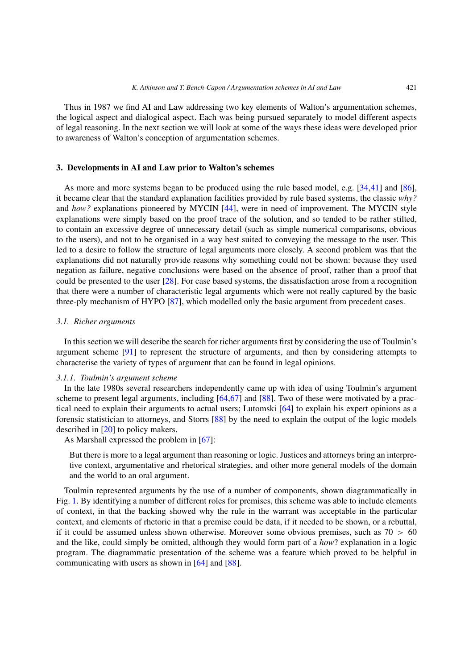Thus in 1987 we find AI and Law addressing two key elements of Walton's argumentation schemes, the logical aspect and dialogical aspect. Each was being pursued separately to model different aspects of legal reasoning. In the next section we will look at some of the ways these ideas were developed prior to awareness of Walton's conception of argumentation schemes.

# **3. Developments in AI and Law prior to Walton's schemes**

As more and more systems began to be produced using the rule based model, e.g. [\[34](#page-14-2)[,41](#page-15-5)] and [\[86](#page-16-13)], it became clear that the standard explanation facilities provided by rule based systems, the classic *why?* and *how?* explanations pioneered by MYCIN [\[44](#page-15-3)], were in need of improvement. The MYCIN style explanations were simply based on the proof trace of the solution, and so tended to be rather stilted, to contain an excessive degree of unnecessary detail (such as simple numerical comparisons, obvious to the users), and not to be organised in a way best suited to conveying the message to the user. This led to a desire to follow the structure of legal arguments more closely. A second problem was that the explanations did not naturally provide reasons why something could not be shown: because they used negation as failure, negative conclusions were based on the absence of proof, rather than a proof that could be presented to the user [\[28\]](#page-14-7). For case based systems, the dissatisfaction arose from a recognition that there were a number of characteristic legal arguments which were not really captured by the basic three-ply mechanism of HYPO [\[87\]](#page-16-14), which modelled only the basic argument from precedent cases.

# *3.1. Richer arguments*

In this section we will describe the search for richer arguments first by considering the use of Toulmin's argument scheme [\[91](#page-16-15)] to represent the structure of arguments, and then by considering attempts to characterise the variety of types of argument that can be found in legal opinions.

## *3.1.1. Toulmin's argument scheme*

In the late 1980s several researchers independently came up with idea of using Toulmin's argument scheme to present legal arguments, including [\[64](#page-15-6)[,67\]](#page-15-7) and [\[88\]](#page-16-16). Two of these were motivated by a practical need to explain their arguments to actual users; Lutomski [\[64\]](#page-15-6) to explain his expert opinions as a forensic statistician to attorneys, and Storrs [\[88\]](#page-16-16) by the need to explain the output of the logic models described in [\[20](#page-14-8)] to policy makers.

As Marshall expressed the problem in [\[67](#page-15-7)]:

But there is more to a legal argument than reasoning or logic. Justices and attorneys bring an interpretive context, argumentative and rhetorical strategies, and other more general models of the domain and the world to an oral argument.

Toulmin represented arguments by the use of a number of components, shown diagrammatically in Fig. [1.](#page-5-0) By identifying a number of different roles for premises, this scheme was able to include elements of context, in that the backing showed why the rule in the warrant was acceptable in the particular context, and elements of rhetoric in that a premise could be data, if it needed to be shown, or a rebuttal, if it could be assumed unless shown otherwise. Moreover some obvious premises, such as 70 *>* 60 and the like, could simply be omitted, although they would form part of a *how*? explanation in a logic program. The diagrammatic presentation of the scheme was a feature which proved to be helpful in communicating with users as shown in [\[64](#page-15-6)] and [\[88\]](#page-16-16).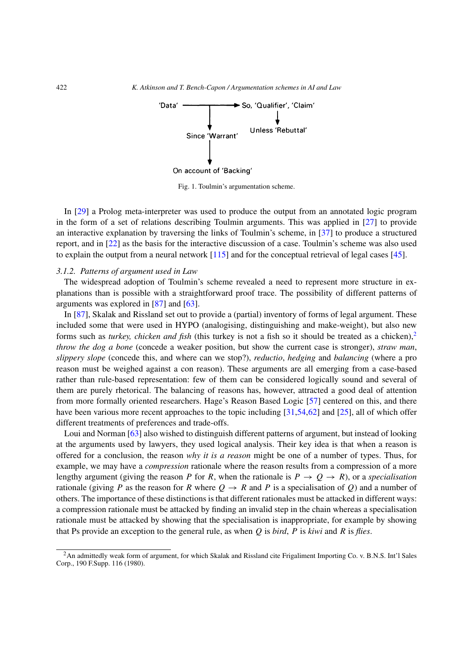

<span id="page-5-0"></span>Fig. 1. Toulmin's argumentation scheme.

In [\[29](#page-14-9)] a Prolog meta-interpreter was used to produce the output from an annotated logic program in the form of a set of relations describing Toulmin arguments. This was applied in [\[27\]](#page-14-10) to provide an interactive explanation by traversing the links of Toulmin's scheme, in [\[37](#page-14-11)] to produce a structured report, and in [\[22](#page-14-12)] as the basis for the interactive discussion of a case. Toulmin's scheme was also used to explain the output from a neural network [\[115](#page-17-5)] and for the conceptual retrieval of legal cases [\[45\]](#page-15-8).

#### *3.1.2. Patterns of argument used in Law*

The widespread adoption of Toulmin's scheme revealed a need to represent more structure in explanations than is possible with a straightforward proof trace. The possibility of different patterns of arguments was explored in [\[87\]](#page-16-14) and [\[63](#page-15-9)].

In [\[87](#page-16-14)], Skalak and Rissland set out to provide a (partial) inventory of forms of legal argument. These included some that were used in HYPO (analogising, distinguishing and make-weight), but also new forms such as *turkey, chicken and fish* (this turkey is not a fish so it should be treated as a chicken),<sup>[2](#page-5-1)</sup> *throw the dog a bone* (concede a weaker position, but show the current case is stronger), *straw man*, *slippery slope* (concede this, and where can we stop?), *reductio*, *hedging* and *balancing* (where a pro reason must be weighed against a con reason). These arguments are all emerging from a case-based rather than rule-based representation: few of them can be considered logically sound and several of them are purely rhetorical. The balancing of reasons has, however, attracted a good deal of attention from more formally oriented researchers. Hage's Reason Based Logic [\[57\]](#page-15-10) centered on this, and there have been various more recent approaches to the topic including [\[31](#page-14-13)[,54](#page-15-11)[,62\]](#page-15-12) and [\[25\]](#page-14-14), all of which offer different treatments of preferences and trade-offs.

Loui and Norman [\[63\]](#page-15-9) also wished to distinguish different patterns of argument, but instead of looking at the arguments used by lawyers, they used logical analysis. Their key idea is that when a reason is offered for a conclusion, the reason *why it is a reason* might be one of a number of types. Thus, for example, we may have a *compression* rationale where the reason results from a compression of a more lengthy argument (giving the reason *P* for *R*, when the rationale is  $P \rightarrow Q \rightarrow R$ ), or a *specialisation* rationale (giving *P* as the reason for *R* where  $Q \rightarrow R$  and *P* is a specialisation of *Q*) and a number of others. The importance of these distinctions is that different rationales must be attacked in different ways: a compression rationale must be attacked by finding an invalid step in the chain whereas a specialisation rationale must be attacked by showing that the specialisation is inappropriate, for example by showing that Ps provide an exception to the general rule, as when *Q* is *bird*, *P* is *kiwi* and *R* is *flies*.

<span id="page-5-1"></span><sup>2</sup>An admittedly weak form of argument, for which Skalak and Rissland cite Frigaliment Importing Co. v. B.N.S. Int'l Sales Corp., 190 F.Supp. 116 (1980).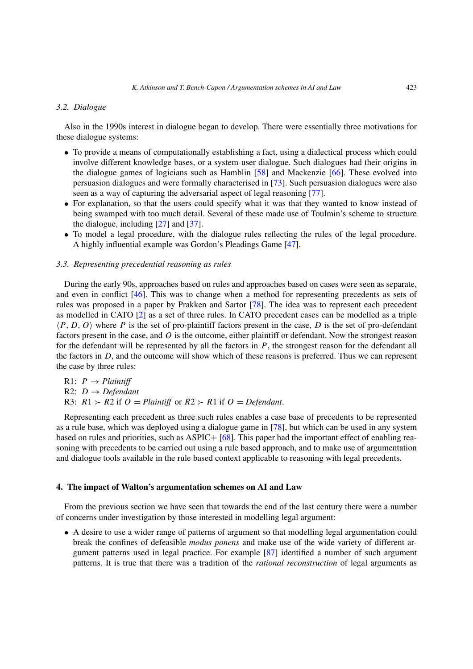## *3.2. Dialogue*

Also in the 1990s interest in dialogue began to develop. There were essentially three motivations for these dialogue systems:

- To provide a means of computationally establishing a fact, using a dialectical process which could involve different knowledge bases, or a system-user dialogue. Such dialogues had their origins in the dialogue games of logicians such as Hamblin [\[58](#page-15-13)] and Mackenzie [\[66\]](#page-15-14). These evolved into persuasion dialogues and were formally characterised in [\[73](#page-16-12)]. Such persuasion dialogues were also seen as a way of capturing the adversarial aspect of legal reasoning [\[77\]](#page-16-17).
- For explanation, so that the users could specify what it was that they wanted to know instead of being swamped with too much detail. Several of these made use of Toulmin's scheme to structure the dialogue, including [\[27\]](#page-14-10) and [\[37](#page-14-11)].
- To model a legal procedure, with the dialogue rules reflecting the rules of the legal procedure. A highly influential example was Gordon's Pleadings Game [\[47](#page-15-2)].

# *3.3. Representing precedential reasoning as rules*

During the early 90s, approaches based on rules and approaches based on cases were seen as separate, and even in conflict [\[46](#page-15-15)]. This was to change when a method for representing precedents as sets of rules was proposed in a paper by Prakken and Sartor [\[78](#page-16-11)]. The idea was to represent each precedent as modelled in CATO [\[2](#page-13-4)] as a set of three rules. In CATO precedent cases can be modelled as a triple  $\langle P, D, O \rangle$  where *P* is the set of pro-plaintiff factors present in the case, *D* is the set of pro-defendant factors present in the case, and *O* is the outcome, either plaintiff or defendant. Now the strongest reason for the defendant will be represented by all the factors in *P*, the strongest reason for the defendant all the factors in *D*, and the outcome will show which of these reasons is preferred. Thus we can represent the case by three rules:

 $R1: P \rightarrow \text{Plaintiff}$ R2:  $D \rightarrow Defendant$ R3:  $R1 > R2$  if  $O = \text{Plaintiff}$  or  $R2 > R1$  if  $O = \text{Defendant}$ .

Representing each precedent as three such rules enables a case base of precedents to be represented as a rule base, which was deployed using a dialogue game in [\[78\]](#page-16-11), but which can be used in any system based on rules and priorities, such as ASPIC+ [\[68](#page-15-16)]. This paper had the important effect of enabling reasoning with precedents to be carried out using a rule based approach, and to make use of argumentation and dialogue tools available in the rule based context applicable to reasoning with legal precedents.

## **4. The impact of Walton's argumentation schemes on AI and Law**

From the previous section we have seen that towards the end of the last century there were a number of concerns under investigation by those interested in modelling legal argument:

• A desire to use a wider range of patterns of argument so that modelling legal argumentation could break the confines of defeasible *modus ponens* and make use of the wide variety of different argument patterns used in legal practice. For example [\[87\]](#page-16-14) identified a number of such argument patterns. It is true that there was a tradition of the *rational reconstruction* of legal arguments as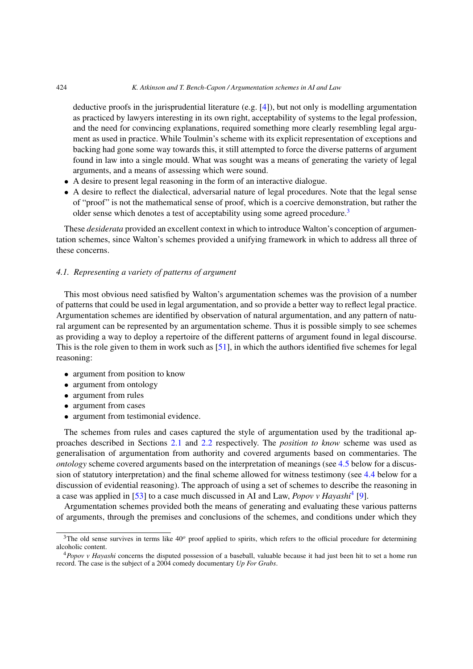#### 424 *K. Atkinson and T. Bench-Capon / Argumentation schemes in AI and Law*

deductive proofs in the jurisprudential literature (e.g.  $[4]$  $[4]$ ), but not only is modelling argumentation as practiced by lawyers interesting in its own right, acceptability of systems to the legal profession, and the need for convincing explanations, required something more clearly resembling legal argument as used in practice. While Toulmin's scheme with its explicit representation of exceptions and backing had gone some way towards this, it still attempted to force the diverse patterns of argument found in law into a single mould. What was sought was a means of generating the variety of legal arguments, and a means of assessing which were sound.

- A desire to present legal reasoning in the form of an interactive dialogue.
- A desire to reflect the dialectical, adversarial nature of legal procedures. Note that the legal sense of "proof" is not the mathematical sense of proof, which is a coercive demonstration, but rather the older sense which denotes a test of acceptability using some agreed procedure.<sup>3</sup>

These *desiderata* provided an excellent context in which to introduce Walton's conception of argumentation schemes, since Walton's schemes provided a unifying framework in which to address all three of these concerns.

# *4.1. Representing a variety of patterns of argument*

This most obvious need satisfied by Walton's argumentation schemes was the provision of a number of patterns that could be used in legal argumentation, and so provide a better way to reflect legal practice. Argumentation schemes are identified by observation of natural argumentation, and any pattern of natural argument can be represented by an argumentation scheme. Thus it is possible simply to see schemes as providing a way to deploy a repertoire of the different patterns of argument found in legal discourse. This is the role given to them in work such as [\[51](#page-15-17)], in which the authors identified five schemes for legal reasoning:

- argument from position to know
- argument from ontology
- argument from rules
- argument from cases
- argument from testimonial evidence.

The schemes from rules and cases captured the style of argumentation used by the traditional approaches described in Sections [2.1](#page-2-1) and [2.2](#page-3-0) respectively. The *position to know* scheme was used as generalisation of argumentation from authority and covered arguments based on commentaries. The *ontology* scheme covered arguments based on the interpretation of meanings (see [4.5](#page-12-0) below for a discussion of statutory interpretation) and the final scheme allowed for witness testimony (see [4.4](#page-11-0) below for a discussion of evidential reasoning). The approach of using a set of schemes to describe the reasoning in a case was applied in [\[53\]](#page-15-18) to a case much discussed in AI and Law, *Popov v Hayashi*[4](#page-7-1) [\[9\]](#page-13-6).

Argumentation schemes provided both the means of generating and evaluating these various patterns of arguments, through the premises and conclusions of the schemes, and conditions under which they

<span id="page-7-0"></span><sup>&</sup>lt;sup>3</sup>The old sense survives in terms like 40<sup>o</sup> proof applied to spirits, which refers to the official procedure for determining alcoholic content.

<span id="page-7-1"></span><sup>4</sup>*Popov v Hayashi* concerns the disputed possession of a baseball, valuable because it had just been hit to set a home run record. The case is the subject of a 2004 comedy documentary *Up For Grabs*.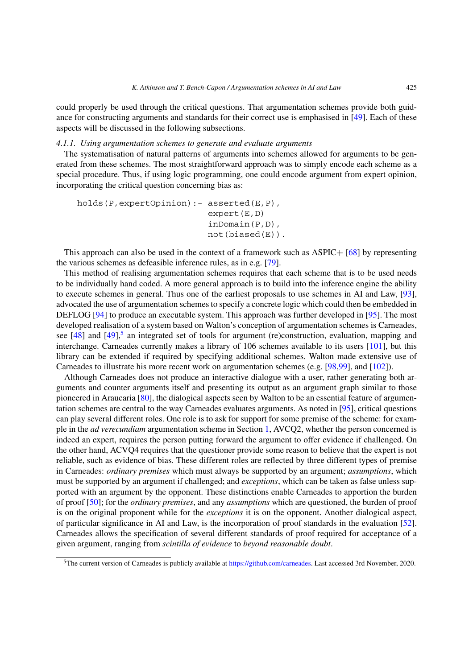could properly be used through the critical questions. That argumentation schemes provide both guidance for constructing arguments and standards for their correct use is emphasised in [\[49](#page-15-19)]. Each of these aspects will be discussed in the following subsections.

## *4.1.1. Using argumentation schemes to generate and evaluate arguments*

The systematisation of natural patterns of arguments into schemes allowed for arguments to be generated from these schemes. The most straightforward approach was to simply encode each scheme as a special procedure. Thus, if using logic programming, one could encode argument from expert opinion, incorporating the critical question concerning bias as:

```
holds(P,expertOpinion):- asserted(E,P),
              expert(E,D)
              inDomain(P,D),
              not(biased(E)).
```
This approach can also be used in the context of a framework such as ASPIC+ [\[68](#page-15-16)] by representing the various schemes as defeasible inference rules, as in e.g. [\[79](#page-16-18)].

This method of realising argumentation schemes requires that each scheme that is to be used needs to be individually hand coded. A more general approach is to build into the inference engine the ability to execute schemes in general. Thus one of the earliest proposals to use schemes in AI and Law, [\[93](#page-16-19)], advocated the use of argumentation schemes to specify a concrete logic which could then be embedded in DEFLOG [\[94](#page-16-20)] to produce an executable system. This approach was further developed in [\[95](#page-16-21)]. The most developed realisation of a system based on Walton's conception of argumentation schemes is Carneades, see [\[48](#page-15-20)] and [\[49](#page-15-19)],<sup>5</sup> an integrated set of tools for argument (re)construction, evaluation, mapping and interchange. Carneades currently makes a library of 106 schemes available to its users [\[101](#page-16-22)], but this library can be extended if required by specifying additional schemes. Walton made extensive use of Carneades to illustrate his more recent work on argumentation schemes (e.g. [\[98](#page-16-23)[,99](#page-16-24)], and [\[102\]](#page-17-6)).

Although Carneades does not produce an interactive dialogue with a user, rather generating both arguments and counter arguments itself and presenting its output as an argument graph similar to those pioneered in Araucaria [\[80\]](#page-16-25), the dialogical aspects seen by Walton to be an essential feature of argumentation schemes are central to the way Carneades evaluates arguments. As noted in [\[95](#page-16-21)], critical questions can play several different roles. One role is to ask for support for some premise of the scheme: for example in the *ad verecundiam* argumentation scheme in Section [1,](#page-0-1) AVCQ2, whether the person concerned is indeed an expert, requires the person putting forward the argument to offer evidence if challenged. On the other hand, ACVQ4 requires that the questioner provide some reason to believe that the expert is not reliable, such as evidence of bias. These different roles are reflected by three different types of premise in Carneades: *ordinary premises* which must always be supported by an argument; *assumptions*, which must be supported by an argument if challenged; and *exceptions*, which can be taken as false unless supported with an argument by the opponent. These distinctions enable Carneades to apportion the burden of proof [\[50\]](#page-15-21); for the *ordinary premises*, and any *assumptions* which are questioned, the burden of proof is on the original proponent while for the *exceptions* it is on the opponent. Another dialogical aspect, of particular significance in AI and Law, is the incorporation of proof standards in the evaluation [\[52](#page-15-22)]. Carneades allows the specification of several different standards of proof required for acceptance of a given argument, ranging from *scintilla of evidence* to *beyond reasonable doubt*.

<span id="page-8-0"></span><sup>5</sup>The current version of Carneades is publicly available at [https://github.com/carneades.](https://github.com/carneades) Last accessed 3rd November, 2020.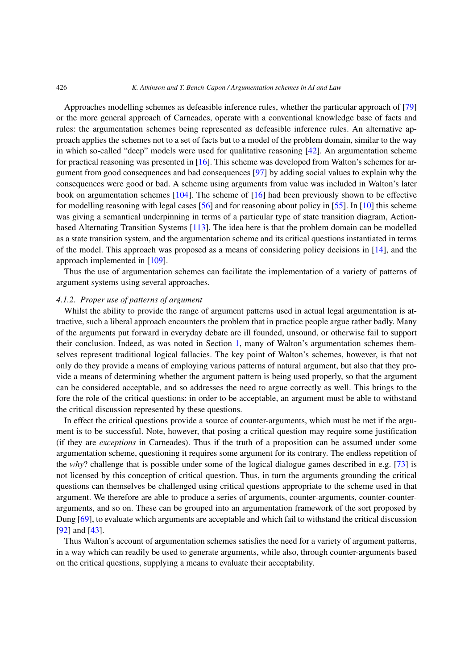Approaches modelling schemes as defeasible inference rules, whether the particular approach of [\[79\]](#page-16-18) or the more general approach of Carneades, operate with a conventional knowledge base of facts and rules: the argumentation schemes being represented as defeasible inference rules. An alternative approach applies the schemes not to a set of facts but to a model of the problem domain, similar to the way in which so-called "deep" models were used for qualitative reasoning [\[42\]](#page-15-23). An argumentation scheme for practical reasoning was presented in [\[16\]](#page-14-15). This scheme was developed from Walton's schemes for argument from good consequences and bad consequences [\[97](#page-16-0)] by adding social values to explain why the consequences were good or bad. A scheme using arguments from value was included in Walton's later book on argumentation schemes [\[104](#page-17-0)]. The scheme of [\[16](#page-14-15)] had been previously shown to be effective for modelling reasoning with legal cases [\[56](#page-15-24)] and for reasoning about policy in [\[55\]](#page-15-25). In [\[10\]](#page-13-7) this scheme was giving a semantical underpinning in terms of a particular type of state transition diagram, Actionbased Alternating Transition Systems [\[113\]](#page-17-7). The idea here is that the problem domain can be modelled as a state transition system, and the argumentation scheme and its critical questions instantiated in terms of the model. This approach was proposed as a means of considering policy decisions in  $[14]$  $[14]$ , and the approach implemented in [\[109](#page-17-8)].

Thus the use of argumentation schemes can facilitate the implementation of a variety of patterns of argument systems using several approaches.

# *4.1.2. Proper use of patterns of argument*

Whilst the ability to provide the range of argument patterns used in actual legal argumentation is attractive, such a liberal approach encounters the problem that in practice people argue rather badly. Many of the arguments put forward in everyday debate are ill founded, unsound, or otherwise fail to support their conclusion. Indeed, as was noted in Section [1,](#page-0-1) many of Walton's argumentation schemes themselves represent traditional logical fallacies. The key point of Walton's schemes, however, is that not only do they provide a means of employing various patterns of natural argument, but also that they provide a means of determining whether the argument pattern is being used properly, so that the argument can be considered acceptable, and so addresses the need to argue correctly as well. This brings to the fore the role of the critical questions: in order to be acceptable, an argument must be able to withstand the critical discussion represented by these questions.

In effect the critical questions provide a source of counter-arguments, which must be met if the argument is to be successful. Note, however, that posing a critical question may require some justification (if they are *exceptions* in Carneades). Thus if the truth of a proposition can be assumed under some argumentation scheme, questioning it requires some argument for its contrary. The endless repetition of the *why*? challenge that is possible under some of the logical dialogue games described in e.g. [\[73](#page-16-12)] is not licensed by this conception of critical question. Thus, in turn the arguments grounding the critical questions can themselves be challenged using critical questions appropriate to the scheme used in that argument. We therefore are able to produce a series of arguments, counter-arguments, counter-counterarguments, and so on. These can be grouped into an argumentation framework of the sort proposed by Dung [\[69](#page-15-1)], to evaluate which arguments are acceptable and which fail to withstand the critical discussion [\[92](#page-16-26)] and [\[43](#page-15-26)].

Thus Walton's account of argumentation schemes satisfies the need for a variety of argument patterns, in a way which can readily be used to generate arguments, while also, through counter-arguments based on the critical questions, supplying a means to evaluate their acceptability.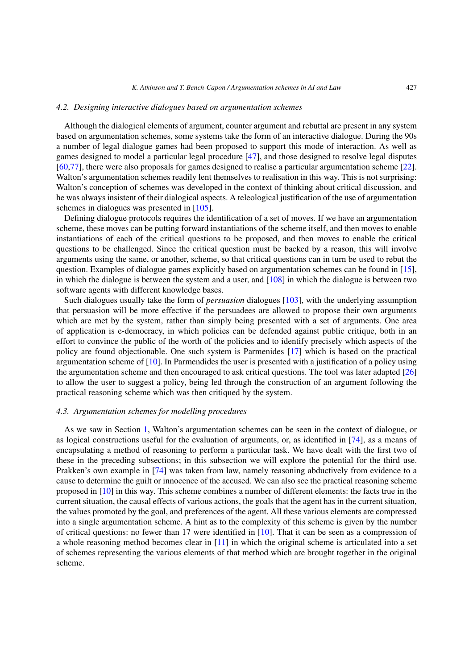#### *4.2. Designing interactive dialogues based on argumentation schemes*

Although the dialogical elements of argument, counter argument and rebuttal are present in any system based on argumentation schemes, some systems take the form of an interactive dialogue. During the 90s a number of legal dialogue games had been proposed to support this mode of interaction. As well as games designed to model a particular legal procedure [\[47](#page-15-2)], and those designed to resolve legal disputes [\[60](#page-15-27)[,77](#page-16-17)], there were also proposals for games designed to realise a particular argumentation scheme [\[22](#page-14-12)]. Walton's argumentation schemes readily lent themselves to realisation in this way. This is not surprising: Walton's conception of schemes was developed in the context of thinking about critical discussion, and he was always insistent of their dialogical aspects. A teleological justification of the use of argumentation schemes in dialogues was presented in [\[105](#page-17-9)].

Defining dialogue protocols requires the identification of a set of moves. If we have an argumentation scheme, these moves can be putting forward instantiations of the scheme itself, and then moves to enable instantiations of each of the critical questions to be proposed, and then moves to enable the critical questions to be challenged. Since the critical question must be backed by a reason, this will involve arguments using the same, or another, scheme, so that critical questions can in turn be used to rebut the question. Examples of dialogue games explicitly based on argumentation schemes can be found in [\[15](#page-14-17)], in which the dialogue is between the system and a user, and [\[108\]](#page-17-10) in which the dialogue is between two software agents with different knowledge bases.

Such dialogues usually take the form of *persuasion* dialogues [\[103\]](#page-17-11), with the underlying assumption that persuasion will be more effective if the persuadees are allowed to propose their own arguments which are met by the system, rather than simply being presented with a set of arguments. One area of application is e-democracy, in which policies can be defended against public critique, both in an effort to convince the public of the worth of the policies and to identify precisely which aspects of the policy are found objectionable. One such system is Parmenides [\[17\]](#page-14-18) which is based on the practical argumentation scheme of [\[10](#page-13-7)]. In Parmendides the user is presented with a justification of a policy using the argumentation scheme and then encouraged to ask critical questions. The tool was later adapted [\[26\]](#page-14-19) to allow the user to suggest a policy, being led through the construction of an argument following the practical reasoning scheme which was then critiqued by the system.

#### *4.3. Argumentation schemes for modelling procedures*

As we saw in Section [1,](#page-0-1) Walton's argumentation schemes can be seen in the context of dialogue, or as logical constructions useful for the evaluation of arguments, or, as identified in [\[74](#page-16-2)], as a means of encapsulating a method of reasoning to perform a particular task. We have dealt with the first two of these in the preceding subsections; in this subsection we will explore the potential for the third use. Prakken's own example in [\[74\]](#page-16-2) was taken from law, namely reasoning abductively from evidence to a cause to determine the guilt or innocence of the accused. We can also see the practical reasoning scheme proposed in [\[10](#page-13-7)] in this way. This scheme combines a number of different elements: the facts true in the current situation, the causal effects of various actions, the goals that the agent has in the current situation, the values promoted by the goal, and preferences of the agent. All these various elements are compressed into a single argumentation scheme. A hint as to the complexity of this scheme is given by the number of critical questions: no fewer than 17 were identified in  $[10]$ . That it can be seen as a compression of a whole reasoning method becomes clear in [\[11](#page-13-8)] in which the original scheme is articulated into a set of schemes representing the various elements of that method which are brought together in the original scheme.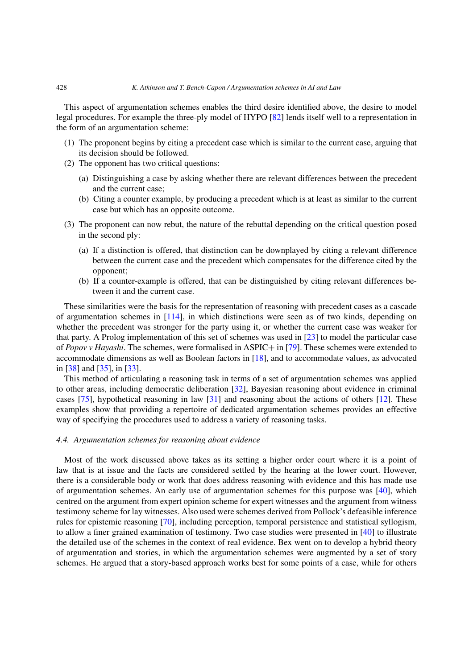This aspect of argumentation schemes enables the third desire identified above, the desire to model legal procedures. For example the three-ply model of HYPO [\[82\]](#page-16-7) lends itself well to a representation in the form of an argumentation scheme:

- (1) The proponent begins by citing a precedent case which is similar to the current case, arguing that its decision should be followed.
- (2) The opponent has two critical questions:
	- (a) Distinguishing a case by asking whether there are relevant differences between the precedent and the current case;
	- (b) Citing a counter example, by producing a precedent which is at least as similar to the current case but which has an opposite outcome.
- (3) The proponent can now rebut, the nature of the rebuttal depending on the critical question posed in the second ply:
	- (a) If a distinction is offered, that distinction can be downplayed by citing a relevant difference between the current case and the precedent which compensates for the difference cited by the opponent;
	- (b) If a counter-example is offered, that can be distinguished by citing relevant differences between it and the current case.

These similarities were the basis for the representation of reasoning with precedent cases as a cascade of argumentation schemes in [\[114](#page-17-12)], in which distinctions were seen as of two kinds, depending on whether the precedent was stronger for the party using it, or whether the current case was weaker for that party. A Prolog implementation of this set of schemes was used in [\[23\]](#page-14-20) to model the particular case of *Popov v Hayashi*. The schemes, were formalised in ASPIC+ in [\[79\]](#page-16-18). These schemes were extended to accommodate dimensions as well as Boolean factors in [\[18](#page-14-21)], and to accommodate values, as advocated in [\[38\]](#page-14-22) and [\[35](#page-14-4)], in [\[33](#page-14-23)].

This method of articulating a reasoning task in terms of a set of argumentation schemes was applied to other areas, including democratic deliberation [\[32\]](#page-14-24), Bayesian reasoning about evidence in criminal cases [\[75\]](#page-16-27), hypothetical reasoning in law [\[31](#page-14-13)] and reasoning about the actions of others [\[12\]](#page-13-9). These examples show that providing a repertoire of dedicated argumentation schemes provides an effective way of specifying the procedures used to address a variety of reasoning tasks.

## <span id="page-11-0"></span>*4.4. Argumentation schemes for reasoning about evidence*

Most of the work discussed above takes as its setting a higher order court where it is a point of law that is at issue and the facts are considered settled by the hearing at the lower court. However, there is a considerable body or work that does address reasoning with evidence and this has made use of argumentation schemes. An early use of argumentation schemes for this purpose was [\[40](#page-15-28)], which centred on the argument from expert opinion scheme for expert witnesses and the argument from witness testimony scheme for lay witnesses. Also used were schemes derived from Pollock's defeasible inference rules for epistemic reasoning [\[70](#page-15-29)], including perception, temporal persistence and statistical syllogism, to allow a finer grained examination of testimony. Two case studies were presented in [\[40\]](#page-15-28) to illustrate the detailed use of the schemes in the context of real evidence. Bex went on to develop a hybrid theory of argumentation and stories, in which the argumentation schemes were augmented by a set of story schemes. He argued that a story-based approach works best for some points of a case, while for others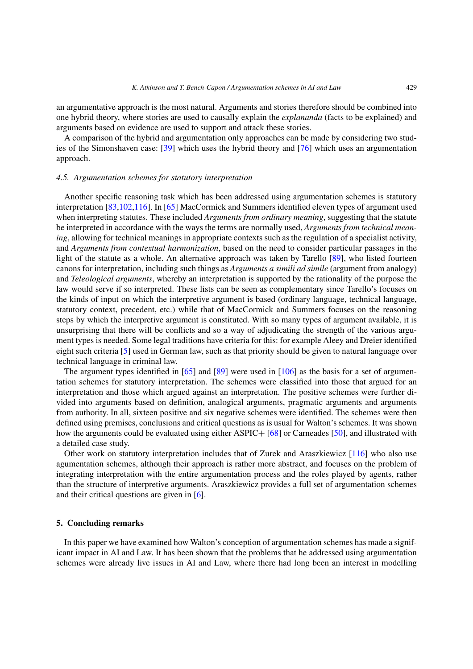an argumentative approach is the most natural. Arguments and stories therefore should be combined into one hybrid theory, where stories are used to causally explain the *explananda* (facts to be explained) and arguments based on evidence are used to support and attack these stories.

A comparison of the hybrid and argumentation only approaches can be made by considering two studies of the Simonshaven case: [\[39\]](#page-14-25) which uses the hybrid theory and [\[76\]](#page-16-28) which uses an argumentation approach.

## <span id="page-12-0"></span>*4.5. Argumentation schemes for statutory interpretation*

Another specific reasoning task which has been addressed using argumentation schemes is statutory interpretation [\[83](#page-16-29)[,102](#page-17-6)[,116\]](#page-17-13). In [\[65\]](#page-15-30) MacCormick and Summers identified eleven types of argument used when interpreting statutes. These included *Arguments from ordinary meaning*, suggesting that the statute be interpreted in accordance with the ways the terms are normally used, *Arguments from technical meaning*, allowing for technical meanings in appropriate contexts such as the regulation of a specialist activity, and *Arguments from contextual harmonization*, based on the need to consider particular passages in the light of the statute as a whole. An alternative approach was taken by Tarello [\[89\]](#page-16-30), who listed fourteen canons for interpretation, including such things as *Arguments a simili ad simile* (argument from analogy) and *Teleological arguments*, whereby an interpretation is supported by the rationality of the purpose the law would serve if so interpreted. These lists can be seen as complementary since Tarello's focuses on the kinds of input on which the interpretive argument is based (ordinary language, technical language, statutory context, precedent, etc.) while that of MacCormick and Summers focuses on the reasoning steps by which the interpretive argument is constituted. With so many types of argument available, it is unsurprising that there will be conflicts and so a way of adjudicating the strength of the various argument types is needed. Some legal traditions have criteria for this: for example Aleey and Dreier identified eight such criteria [\[5\]](#page-13-10) used in German law, such as that priority should be given to natural language over technical language in criminal law.

The argument types identified in  $[65]$  and  $[89]$  $[89]$  were used in  $[106]$  as the basis for a set of argumentation schemes for statutory interpretation. The schemes were classified into those that argued for an interpretation and those which argued against an interpretation. The positive schemes were further divided into arguments based on definition, analogical arguments, pragmatic arguments and arguments from authority. In all, sixteen positive and six negative schemes were identified. The schemes were then defined using premises, conclusions and critical questions as is usual for Walton's schemes. It was shown how the arguments could be evaluated using either ASPIC+ [\[68](#page-15-16)] or Carneades [\[50](#page-15-21)], and illustrated with a detailed case study.

Other work on statutory interpretation includes that of Zurek and Araszkiewicz [\[116](#page-17-13)] who also use agumentation schemes, although their approach is rather more abstract, and focuses on the problem of integrating interpretation with the entire argumentation process and the roles played by agents, rather than the structure of interpretive arguments. Araszkiewicz provides a full set of argumentation schemes and their critical questions are given in [\[6\]](#page-13-11).

# **5. Concluding remarks**

In this paper we have examined how Walton's conception of argumentation schemes has made a significant impact in AI and Law. It has been shown that the problems that he addressed using argumentation schemes were already live issues in AI and Law, where there had long been an interest in modelling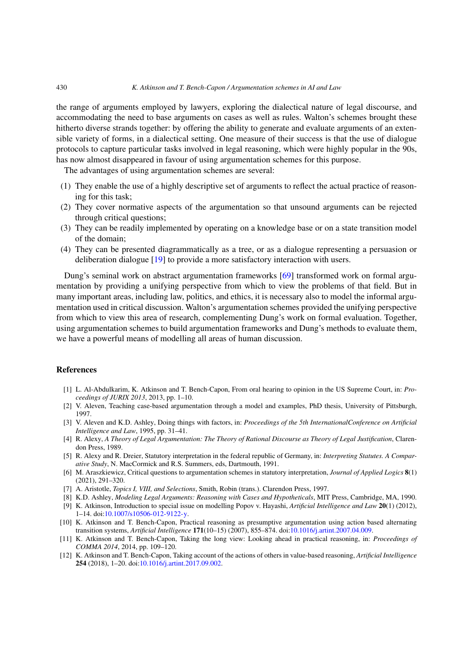#### 430 *K. Atkinson and T. Bench-Capon / Argumentation schemes in AI and Law*

the range of arguments employed by lawyers, exploring the dialectical nature of legal discourse, and accommodating the need to base arguments on cases as well as rules. Walton's schemes brought these hitherto diverse strands together: by offering the ability to generate and evaluate arguments of an extensible variety of forms, in a dialectical setting. One measure of their success is that the use of dialogue protocols to capture particular tasks involved in legal reasoning, which were highly popular in the 90s, has now almost disappeared in favour of using argumentation schemes for this purpose.

The advantages of using argumentation schemes are several:

- (1) They enable the use of a highly descriptive set of arguments to reflect the actual practice of reasoning for this task;
- (2) They cover normative aspects of the argumentation so that unsound arguments can be rejected through critical questions;
- (3) They can be readily implemented by operating on a knowledge base or on a state transition model of the domain;
- (4) They can be presented diagrammatically as a tree, or as a dialogue representing a persuasion or deliberation dialogue [\[19\]](#page-14-26) to provide a more satisfactory interaction with users.

Dung's seminal work on abstract argumentation frameworks [\[69](#page-15-1)] transformed work on formal argumentation by providing a unifying perspective from which to view the problems of that field. But in many important areas, including law, politics, and ethics, it is necessary also to model the informal argumentation used in critical discussion. Walton's argumentation schemes provided the unifying perspective from which to view this area of research, complementing Dung's work on formal evaluation. Together, using argumentation schemes to build argumentation frameworks and Dung's methods to evaluate them, we have a powerful means of modelling all areas of human discussion.

## **References**

- <span id="page-13-2"></span>[1] L. Al-Abdulkarim, K. Atkinson and T. Bench-Capon, From oral hearing to opinion in the US Supreme Court, in: *Proceedings of JURIX 2013*, 2013, pp. 1–10.
- <span id="page-13-4"></span>[2] V. Aleven, Teaching case-based argumentation through a model and examples, PhD thesis, University of Pittsburgh, 1997.
- <span id="page-13-3"></span>[3] V. Aleven and K.D. Ashley, Doing things with factors, in: *Proceedings of the 5th InternationalConference on Artificial Intelligence and Law*, 1995, pp. 31–41.
- <span id="page-13-5"></span>[4] R. Alexy, *A Theory of Legal Argumentation: The Theory of Rational Discourse as Theory of Legal Justification*, Clarendon Press, 1989.
- <span id="page-13-10"></span>[5] R. Alexy and R. Dreier, Statutory interpretation in the federal republic of Germany, in: *Interpreting Statutes. A Comparative Study*, N. MacCormick and R.S. Summers, eds, Dartmouth, 1991.
- <span id="page-13-11"></span>[6] M. Araszkiewicz, Critical questions to argumentation schemes in statutory interpretation, *Journal of Applied Logics* **8**(1) (2021), 291–320.
- <span id="page-13-0"></span>[7] A. Aristotle, *Topics I, VIII, and Selections*, Smith, Robin (trans.). Clarendon Press, 1997.
- <span id="page-13-6"></span><span id="page-13-1"></span>[8] K.D. Ashley, *Modeling Legal Arguments: Reasoning with Cases and Hypotheticals*, MIT Press, Cambridge, MA, 1990. [9] K. Atkinson, Introduction to special issue on modelling Popov v. Hayashi, *Artificial Intelligence and Law* **20**(1) (2012), 1–14. doi[:10.1007/s10506-012-9122-y.](https://doi.org/10.1007/s10506-012-9122-y)
- <span id="page-13-7"></span>[10] K. Atkinson and T. Bench-Capon, Practical reasoning as presumptive argumentation using action based alternating transition systems, *Artificial Intelligence* **171**(10–15) (2007), 855–874. doi[:10.1016/j.artint.2007.04.009.](https://doi.org/10.1016/j.artint.2007.04.009)
- <span id="page-13-8"></span>[11] K. Atkinson and T. Bench-Capon, Taking the long view: Looking ahead in practical reasoning, in: *Proceedings of COMMA 2014*, 2014, pp. 109–120.
- <span id="page-13-9"></span>[12] K. Atkinson and T. Bench-Capon, Taking account of the actions of others in value-based reasoning, *Artificial Intelligence* **254** (2018), 1–20. doi[:10.1016/j.artint.2017.09.002.](https://doi.org/10.1016/j.artint.2017.09.002)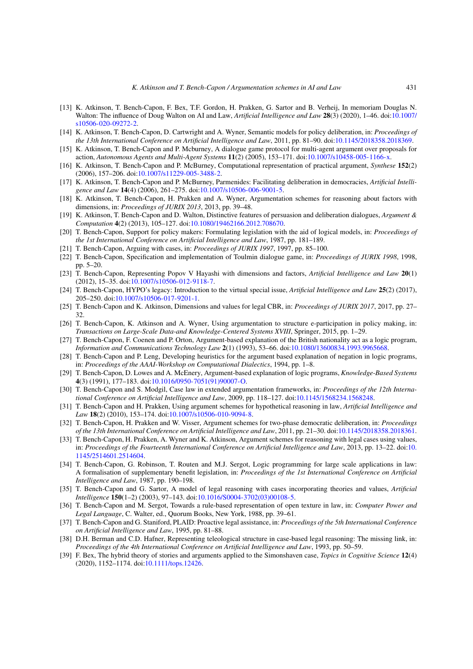- <span id="page-14-0"></span>[13] K. Atkinson, T. Bench-Capon, F. Bex, T.F. Gordon, H. Prakken, G. Sartor and B. Verheij, In memoriam Douglas N. Walton: The influence of Doug Walton on AI and Law, *Artificial Intelligence and Law* **28**(3) (2020), 1–46. doi[:10.1007/](https://doi.org/10.1007/s10506-020-09272-2) [s10506-020-09272-2.](https://doi.org/10.1007/s10506-020-09272-2)
- <span id="page-14-16"></span>[14] K. Atkinson, T. Bench-Capon, D. Cartwright and A. Wyner, Semantic models for policy deliberation, in: *Proceedings of the 13th International Conference on Artificial Intelligence and Law*, 2011, pp. 81–90. doi[:10.1145/2018358.2018369.](https://doi.org/10.1145/2018358.2018369)
- <span id="page-14-17"></span>[15] K. Atkinson, T. Bench-Capon and P. Mcburney, A dialogue game protocol for multi-agent argument over proposals for action, *Autonomous Agents and Multi-Agent Systems* **11**(2) (2005), 153–171. doi[:10.1007/s10458-005-1166-x.](https://doi.org/10.1007/s10458-005-1166-x)
- <span id="page-14-15"></span>[16] K. Atkinson, T. Bench-Capon and P. McBurney, Computational representation of practical argument, *Synthese* **152**(2) (2006), 157–206. doi[:10.1007/s11229-005-3488-2.](https://doi.org/10.1007/s11229-005-3488-2)
- <span id="page-14-18"></span>[17] K. Atkinson, T. Bench-Capon and P. McBurney, Parmenides: Facilitating deliberation in democracies, *Artificial Intelligence and Law* **14**(4) (2006), 261–275. doi[:10.1007/s10506-006-9001-5.](https://doi.org/10.1007/s10506-006-9001-5)
- <span id="page-14-21"></span>[18] K. Atkinson, T. Bench-Capon, H. Prakken and A. Wyner, Argumentation schemes for reasoning about factors with dimensions, in: *Proceedings of JURIX 2013*, 2013, pp. 39–48.
- <span id="page-14-26"></span>[19] K. Atkinson, T. Bench-Capon and D. Walton, Distinctive features of persuasion and deliberation dialogues, *Argument & Computation* **4**(2) (2013), 105–127. doi[:10.1080/19462166.2012.708670.](https://doi.org/10.1080/19462166.2012.708670)
- <span id="page-14-8"></span>[20] T. Bench-Capon, Support for policy makers: Formulating legislation with the aid of logical models, in: *Proceedings of the 1st International Conference on Artificial Intelligence and Law*, 1987, pp. 181–189.
- <span id="page-14-6"></span>[21] T. Bench-Capon, Arguing with cases, in: *Proceedings of JURIX 1997*, 1997, pp. 85–100.
- <span id="page-14-12"></span>[22] T. Bench-Capon, Specification and implementation of Toulmin dialogue game, in: *Proceedings of JURIX 1998*, 1998, pp. 5–20.
- <span id="page-14-20"></span>[23] T. Bench-Capon, Representing Popov V Hayashi with dimensions and factors, *Artificial Intelligence and Law* **20**(1) (2012), 15–35. doi[:10.1007/s10506-012-9118-7.](https://doi.org/10.1007/s10506-012-9118-7)
- <span id="page-14-5"></span>[24] T. Bench-Capon, HYPO's legacy: Introduction to the virtual special issue, *Artificial Intelligence and Law* **25**(2) (2017), 205–250. doi[:10.1007/s10506-017-9201-1.](https://doi.org/10.1007/s10506-017-9201-1)
- <span id="page-14-14"></span>[25] T. Bench-Capon and K. Atkinson, Dimensions and values for legal CBR, in: *Proceedings of JURIX 2017*, 2017, pp. 27– 32.
- <span id="page-14-19"></span>[26] T. Bench-Capon, K. Atkinson and A. Wyner, Using argumentation to structure e-participation in policy making, in: *Transactions on Large-Scale Data-and Knowledge-Centered Systems XVIII*, Springer, 2015, pp. 1–29.
- <span id="page-14-10"></span>[27] T. Bench-Capon, F. Coenen and P. Orton, Argument-based explanation of the British nationality act as a logic program, *Information and Communications Technology Law* **2**(1) (1993), 53–66. doi[:10.1080/13600834.1993.9965668.](https://doi.org/10.1080/13600834.1993.9965668)
- <span id="page-14-7"></span>[28] T. Bench-Capon and P. Leng, Developing heuristics for the argument based explanation of negation in logic programs, in: *Proceedings of the AAAI-Workshop on Computational Dialectics*, 1994, pp. 1–8.
- <span id="page-14-9"></span>[29] T. Bench-Capon, D. Lowes and A. McEnery, Argument-based explanation of logic programs, *Knowledge-Based Systems* **4**(3) (1991), 177–183. doi[:10.1016/0950-7051\(91\)90007-O.](https://doi.org/10.1016/0950-7051(91)90007-O)
- <span id="page-14-1"></span>[30] T. Bench-Capon and S. Modgil, Case law in extended argumentation frameworks, in: *Proceedings of the 12th International Conference on Artificial Intelligence and Law*, 2009, pp. 118–127. doi[:10.1145/1568234.1568248.](https://doi.org/10.1145/1568234.1568248)
- <span id="page-14-13"></span>[31] T. Bench-Capon and H. Prakken, Using argument schemes for hypothetical reasoning in law, *Artificial Intelligence and Law* **18**(2) (2010), 153–174. doi[:10.1007/s10506-010-9094-8.](https://doi.org/10.1007/s10506-010-9094-8)
- <span id="page-14-24"></span>[32] T. Bench-Capon, H. Prakken and W. Visser, Argument schemes for two-phase democratic deliberation, in: *Proceedings of the 13th International Conference on Artificial Intelligence and Law*, 2011, pp. 21–30. doi[:10.1145/2018358.2018361.](https://doi.org/10.1145/2018358.2018361)
- <span id="page-14-23"></span>[33] T. Bench-Capon, H. Prakken, A. Wyner and K. Atkinson, Argument schemes for reasoning with legal cases using values, in: *Proceedings of the Fourteenth International Conference on Artificial Intelligence and Law*, 2013, pp. 13–22. doi[:10.](https://doi.org/10.1145/2514601.2514604) [1145/2514601.2514604.](https://doi.org/10.1145/2514601.2514604)
- <span id="page-14-2"></span>[34] T. Bench-Capon, G. Robinson, T. Routen and M.J. Sergot, Logic programming for large scale applications in law: A formalisation of supplementary benefit legislation, in: *Proceedings of the 1st International Conference on Artificial Intelligence and Law*, 1987, pp. 190–198.
- <span id="page-14-4"></span>[35] T. Bench-Capon and G. Sartor, A model of legal reasoning with cases incorporating theories and values, *Artificial Intelligence* **150**(1–2) (2003), 97–143. doi[:10.1016/S0004-3702\(03\)00108-5.](https://doi.org/10.1016/S0004-3702(03)00108-5)
- <span id="page-14-3"></span>[36] T. Bench-Capon and M. Sergot, Towards a rule-based representation of open texture in law, in: *Computer Power and Legal Language*, C. Walter, ed., Quorum Books, New York, 1988, pp. 39–61.
- <span id="page-14-11"></span>[37] T. Bench-Capon and G. Staniford, PLAID: Proactive legal assistance, in: *Proceedings of the 5th International Conference on Artificial Intelligence and Law*, 1995, pp. 81–88.
- <span id="page-14-22"></span>[38] D.H. Berman and C.D. Hafner, Representing teleological structure in case-based legal reasoning: The missing link, in: *Proceedings of the 4th International Conference on Artificial Intelligence and Law*, 1993, pp. 50–59.
- <span id="page-14-25"></span>[39] F. Bex, The hybrid theory of stories and arguments applied to the Simonshaven case, *Topics in Cognitive Science* **12**(4) (2020), 1152–1174. doi[:10.1111/tops.12426.](https://doi.org/10.1111/tops.12426)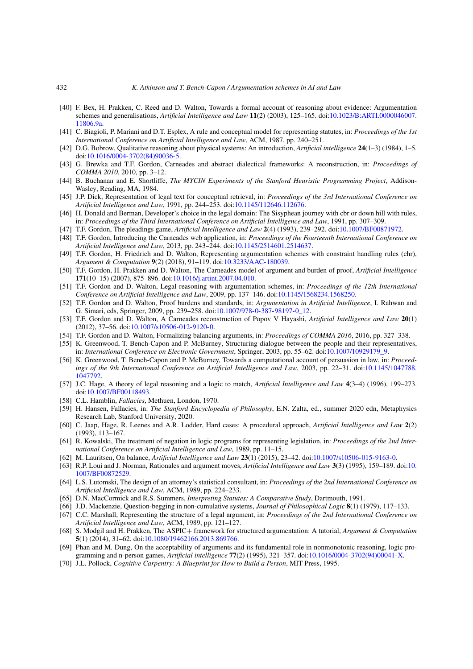- <span id="page-15-28"></span>[40] F. Bex, H. Prakken, C. Reed and D. Walton, Towards a formal account of reasoning about evidence: Argumentation schemes and generalisations, *Artificial Intelligence and Law* **11**(2) (2003), 125–165. doi[:10.1023/B:ARTI.0000046007.](https://doi.org/10.1023/B:ARTI.0000046007.11806.9a) [11806.9a.](https://doi.org/10.1023/B:ARTI.0000046007.11806.9a)
- <span id="page-15-5"></span>[41] C. Biagioli, P. Mariani and D.T. Esplex, A rule and conceptual model for representing statutes, in: *Proceedings of the 1st International Conference on Artificial Intelligence and Law*, ACM, 1987, pp. 240–251.
- <span id="page-15-23"></span>[42] D.G. Bobrow, Qualitative reasoning about physical systems: An introduction, *Artificial intelligence* **24**(1–3) (1984), 1–5. doi[:10.1016/0004-3702\(84\)90036-5.](https://doi.org/10.1016/0004-3702(84)90036-5)
- <span id="page-15-26"></span>[43] G. Brewka and T.F. Gordon, Carneades and abstract dialectical frameworks: A reconstruction, in: *Proceedings of COMMA 2010*, 2010, pp. 3–12.
- <span id="page-15-3"></span>[44] B. Buchanan and E. Shortliffe, *The MYCIN Experiments of the Stanford Heuristic Programming Project*, Addison-Wasley, Reading, MA, 1984.
- <span id="page-15-8"></span>[45] J.P. Dick, Representation of legal text for conceptual retrieval, in: *Proceedings of the 3rd International Conference on Artificial Intelligence and Law*, 1991, pp. 244–253. doi[:10.1145/112646.112676.](https://doi.org/10.1145/112646.112676)
- <span id="page-15-15"></span>[46] H. Donald and Berman, Developer's choice in the legal domain: The Sisyphean journey with cbr or down hill with rules, in: *Proceedings of the Third International Conference on Artificial Intelligence and Law*, 1991, pp. 307–309.
- <span id="page-15-2"></span>[47] T.F. Gordon, The pleadings game, *Artificial Intelligence and Law* **2**(4) (1993), 239–292. doi[:10.1007/BF00871972.](https://doi.org/10.1007/BF00871972)
- <span id="page-15-20"></span>[48] T.F. Gordon, Introducing the Carneades web application, in: *Proceedings of the Fourteenth International Conference on Artificial Intelligence and Law*, 2013, pp. 243–244. doi[:10.1145/2514601.2514637.](https://doi.org/10.1145/2514601.2514637)
- <span id="page-15-19"></span>[49] T.F. Gordon, H. Friedrich and D. Walton, Representing argumentation schemes with constraint handling rules (chr), *Argument & Computation* **9**(2) (2018), 91–119. doi[:10.3233/AAC-180039.](https://doi.org/10.3233/AAC-180039)
- <span id="page-15-21"></span>[50] T.F. Gordon, H. Prakken and D. Walton, The Carneades model of argument and burden of proof, *Artificial Intelligence* **171**(10–15) (2007), 875–896. doi[:10.1016/j.artint.2007.04.010.](https://doi.org/10.1016/j.artint.2007.04.010)
- <span id="page-15-17"></span>[51] T.F. Gordon and D. Walton, Legal reasoning with argumentation schemes, in: *Proceedings of the 12th International Conference on Artificial Intelligence and Law*, 2009, pp. 137–146. doi[:10.1145/1568234.1568250.](https://doi.org/10.1145/1568234.1568250)
- <span id="page-15-22"></span>[52] T.F. Gordon and D. Walton, Proof burdens and standards, in: *Argumentation in Artificial Intelligence*, I. Rahwan and G. Simari, eds, Springer, 2009, pp. 239–258. doi[:10.1007/978-0-387-98197-0\\_12.](https://doi.org/10.1007/978-0-387-98197-0_12)
- <span id="page-15-18"></span>[53] T.F. Gordon and D. Walton, A Carneades reconstruction of Popov V Hayashi, *Artificial Intelligence and Law* **20**(1) (2012), 37–56. doi[:10.1007/s10506-012-9120-0.](https://doi.org/10.1007/s10506-012-9120-0)
- <span id="page-15-11"></span>[54] T.F. Gordon and D. Walton, Formalizing balancing arguments, in: *Proceedings of COMMA 2016*, 2016, pp. 327–338.
- <span id="page-15-25"></span>[55] K. Greenwood, T. Bench-Capon and P. McBurney, Structuring dialogue between the people and their representatives, in: *International Conference on Electronic Government*, Springer, 2003, pp. 55–62. doi[:10.1007/10929179\\_9.](https://doi.org/10.1007/10929179_9)
- <span id="page-15-24"></span>[56] K. Greenwood, T. Bench-Capon and P. McBurney, Towards a computational account of persuasion in law, in: *Proceedings of the 9th International Conference on Artificial Intelligence and Law*, 2003, pp. 22–31. doi[:10.1145/1047788.](https://doi.org/10.1145/1047788.1047792) [1047792.](https://doi.org/10.1145/1047788.1047792)
- <span id="page-15-10"></span>[57] J.C. Hage, A theory of legal reasoning and a logic to match, *Artificial Intelligence and Law* **4**(3–4) (1996), 199–273. doi[:10.1007/BF00118493.](https://doi.org/10.1007/BF00118493)
- <span id="page-15-13"></span>[58] C.L. Hamblin, *Fallacies*, Methuen, London, 1970.
- <span id="page-15-0"></span>[59] H. Hansen, Fallacies, in: *The Stanford Encyclopedia of Philosophy*, E.N. Zalta, ed., summer 2020 edn, Metaphysics Research Lab, Stanford University, 2020.
- <span id="page-15-27"></span>[60] C. Jaap, Hage, R. Leenes and A.R. Lodder, Hard cases: A procedural approach, *Artificial Intelligence and Law* **2**(2) (1993), 113–167.
- <span id="page-15-4"></span>[61] R. Kowalski, The treatment of negation in logic programs for representing legislation, in: *Proceedings of the 2nd International Conference on Artificial Intelligence and Law*, 1989, pp. 11–15.
- <span id="page-15-12"></span>[62] M. Lauritsen, On balance, *Artificial Intelligence and Law* **23**(1) (2015), 23–42. doi[:10.1007/s10506-015-9163-0.](https://doi.org/10.1007/s10506-015-9163-0)
- <span id="page-15-9"></span>[63] R.P. Loui and J. Norman, Rationales and argument moves, *Artificial Intelligence and Law* **3**(3) (1995), 159–189. doi[:10.](https://doi.org/10.1007/BF00872529) [1007/BF00872529.](https://doi.org/10.1007/BF00872529)
- <span id="page-15-6"></span>[64] L.S. Lutomski, The design of an attorney's statistical consultant, in: *Proceedings of the 2nd International Conference on Artificial Intelligence and Law*, ACM, 1989, pp. 224–233.
- <span id="page-15-30"></span>[65] D.N. MacCormick and R.S. Summers, *Interpreting Statutes: A Comparative Study*, Dartmouth, 1991.
- <span id="page-15-14"></span>[66] J.D. Mackenzie, Question-begging in non-cumulative systems, *Journal of Philosophical Logic* **8**(1) (1979), 117–133.
- <span id="page-15-7"></span>[67] C.C. Marshall, Representing the structure of a legal argument, in: *Proceedings of the 2nd International Conference on Artificial Intelligence and Law*, ACM, 1989, pp. 121–127.
- <span id="page-15-16"></span>[68] S. Modgil and H. Prakken, The ASPIC+ framework for structured argumentation: A tutorial, *Argument & Computation* **5**(1) (2014), 31–62. doi[:10.1080/19462166.2013.869766.](https://doi.org/10.1080/19462166.2013.869766)
- <span id="page-15-1"></span>[69] Phan and M. Dung, On the acceptability of arguments and its fundamental role in nonmonotonic reasoning, logic programming and n-person games, *Artificial intelligence* **77**(2) (1995), 321–357. doi[:10.1016/0004-3702\(94\)00041-X.](https://doi.org/10.1016/0004-3702(94)00041-X)
- <span id="page-15-29"></span>[70] J.L. Pollock, *Cognitive Carpentry: A Blueprint for How to Build a Person*, MIT Press, 1995.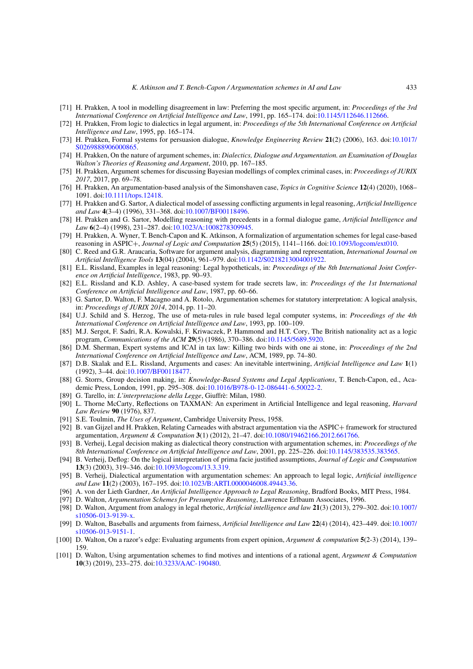- <span id="page-16-9"></span>[71] H. Prakken, A tool in modelling disagreement in law: Preferring the most specific argument, in: *Proceedings of the 3rd International Conference on Artificial Intelligence and Law*, 1991, pp. 165–174. doi[:10.1145/112646.112666.](https://doi.org/10.1145/112646.112666)
- <span id="page-16-3"></span>[72] H. Prakken, From logic to dialectics in legal argument, in: *Proceedings of the 5th International Conference on Artificial Intelligence and Law*, 1995, pp. 165–174.
- <span id="page-16-12"></span>[73] H. Prakken, Formal systems for persuasion dialogue, *Knowledge Engineering Review* **21**(2) (2006), 163. doi[:10.1017/](https://doi.org/10.1017/S0269888906000865) [S0269888906000865.](https://doi.org/10.1017/S0269888906000865)
- <span id="page-16-2"></span>[74] H. Prakken, On the nature of argument schemes, in: *Dialectics, Dialogue and Argumentation. an Examination of Douglas Walton's Theories of Reasoning and Argument*, 2010, pp. 167–185.
- <span id="page-16-27"></span>[75] H. Prakken, Argument schemes for discussing Bayesian modellings of complex criminal cases, in: *Proceedings of JURIX 2017*, 2017, pp. 69–78.
- <span id="page-16-28"></span>[76] H. Prakken, An argumentation-based analysis of the Simonshaven case, *Topics in Cognitive Science* **12**(4) (2020), 1068– 1091. doi[:10.1111/tops.12418.](https://doi.org/10.1111/tops.12418)
- <span id="page-16-17"></span>[77] H. Prakken and G. Sartor, A dialectical model of assessing conflicting arguments in legal reasoning, *Artificial Intelligence and Law* **4**(3–4) (1996), 331–368. doi[:10.1007/BF00118496.](https://doi.org/10.1007/BF00118496)
- <span id="page-16-11"></span>[78] H. Prakken and G. Sartor, Modelling reasoning with precedents in a formal dialogue game, *Artificial Intelligence and Law* **6**(2–4) (1998), 231–287. doi[:10.1023/A:1008278309945.](https://doi.org/10.1023/A:1008278309945)
- <span id="page-16-18"></span>[79] H. Prakken, A. Wyner, T. Bench-Capon and K. Atkinson, A formalization of argumentation schemes for legal case-based reasoning in ASPIC+, *Journal of Logic and Computation* **25**(5) (2015), 1141–1166. doi[:10.1093/logcom/ext010.](https://doi.org/10.1093/logcom/ext010)
- <span id="page-16-25"></span>[80] C. Reed and G.R. Araucaria, Software for argument analysis, diagramming and representation, *International Journal on Artificial Intelligence Tools* **13**(04) (2004), 961–979. doi[:10.1142/S0218213004001922.](https://doi.org/10.1142/S0218213004001922)
- <span id="page-16-4"></span>[81] E.L. Rissland, Examples in legal reasoning: Legal hypotheticals, in: *Proceedings of the 8th International Joint Conference on Artificial Intelligence*, 1983, pp. 90–93.
- <span id="page-16-7"></span>[82] E.L. Rissland and K.D. Ashley, A case-based system for trade secrets law, in: *Proceedings of the 1st International Conference on Artificial Intelligence and Law*, 1987, pp. 60–66.
- <span id="page-16-29"></span>[83] G. Sartor, D. Walton, F. Macagno and A. Rotolo, Argumentation schemes for statutory interpretation: A logical analysis, in: *Proceedings of JURIX 2014*, 2014, pp. 11–20.
- <span id="page-16-10"></span>[84] U.J. Schild and S. Herzog, The use of meta-rules in rule based legal computer systems, in: *Proceedings of the 4th International Conference on Artificial Intelligence and Law*, 1993, pp. 100–109.
- <span id="page-16-8"></span>[85] M.J. Sergot, F. Sadri, R.A. Kowalski, F. Kriwaczek, P. Hammond and H.T. Cory, The British nationality act as a logic program, *Communications of the ACM* **29**(5) (1986), 370–386. doi[:10.1145/5689.5920.](https://doi.org/10.1145/5689.5920)
- <span id="page-16-13"></span>[86] D.M. Sherman, Expert systems and ICAI in tax law: Killing two birds with one ai stone, in: *Proceedings of the 2nd International Conference on Artificial Intelligence and Law*, ACM, 1989, pp. 74–80.
- <span id="page-16-14"></span>[87] D.B. Skalak and E.L. Rissland, Arguments and cases: An inevitable intertwining, *Artificial Intelligence and Law* **1**(1) (1992), 3–44. doi[:10.1007/BF00118477.](https://doi.org/10.1007/BF00118477)
- <span id="page-16-16"></span>[88] G. Storrs, Group decision making, in: *Knowledge-Based Systems and Legal Applications*, T. Bench-Capon, ed., Academic Press, London, 1991, pp. 295–308. doi[:10.1016/B978-0-12-086441-6.50022-2.](https://doi.org/10.1016/B978-0-12-086441-6.50022-2)
- <span id="page-16-30"></span>[89] G. Tarello, in: *L'interpretazione della Legge*, Giuffrè: Milan, 1980.
- <span id="page-16-5"></span>[90] L. Thorne McCarty, Reflections on TAXMAN: An experiment in Artificial Intelligence and legal reasoning, *Harvard Law Review* **90** (1976), 837.
- <span id="page-16-15"></span>[91] S.E. Toulmin, *The Uses of Argument*, Cambridge University Press, 1958.
- <span id="page-16-26"></span>[92] B. van Gijzel and H. Prakken, Relating Carneades with abstract argumentation via the ASPIC+ framework for structured argumentation, *Argument & Computation* **3**(1) (2012), 21–47. doi[:10.1080/19462166.2012.661766.](https://doi.org/10.1080/19462166.2012.661766)
- <span id="page-16-19"></span>[93] B. Verheij, Legal decision making as dialectical theory construction with argumentation schemes, in: *Proceedings of the 8th International Conference on Artificial Intelligence and Law*, 2001, pp. 225–226. doi[:10.1145/383535.383565.](https://doi.org/10.1145/383535.383565)
- <span id="page-16-20"></span>[94] B. Verheij, Deflog: On the logical interpretation of prima facie justified assumptions, *Journal of Logic and Computation* **13**(3) (2003), 319–346. doi[:10.1093/logcom/13.3.319.](https://doi.org/10.1093/logcom/13.3.319)
- <span id="page-16-21"></span>[95] B. Verheij, Dialectical argumentation with argumentation schemes: An approach to legal logic, *Artificial intelligence and Law* **11**(2) (2003), 167–195. doi[:10.1023/B:ARTI.0000046008.49443.36.](https://doi.org/10.1023/B:ARTI.0000046008.49443.36)
- <span id="page-16-6"></span>[96] A. von der Lieth Gardner, *An Artificial Intelligence Approach to Legal Reasoning*, Bradford Books, MIT Press, 1984.
- <span id="page-16-0"></span>[97] D. Walton, *Argumentation Schemes for Presumptive Reasoning*, Lawrence Erlbaum Associates, 1996.
- <span id="page-16-23"></span>[98] D. Walton, Argument from analogy in legal rhetoric, *Artificial intelligence and law* **21**(3) (2013), 279–302. doi[:10.1007/](https://doi.org/10.1007/s10506-013-9139-x) [s10506-013-9139-x.](https://doi.org/10.1007/s10506-013-9139-x)
- <span id="page-16-24"></span>[99] D. Walton, Baseballs and arguments from fairness, *Artificial Intelligence and Law* **22**(4) (2014), 423–449. doi[:10.1007/](https://doi.org/10.1007/s10506-013-9151-1) [s10506-013-9151-1.](https://doi.org/10.1007/s10506-013-9151-1)
- <span id="page-16-1"></span>[100] D. Walton, On a razor's edge: Evaluating arguments from expert opinion, *Argument & computation* **5**(2-3) (2014), 139– 159.
- <span id="page-16-22"></span>[101] D. Walton, Using argumentation schemes to find motives and intentions of a rational agent, *Argument & Computation* **10**(3) (2019), 233–275. doi[:10.3233/AAC-190480.](https://doi.org/10.3233/AAC-190480)